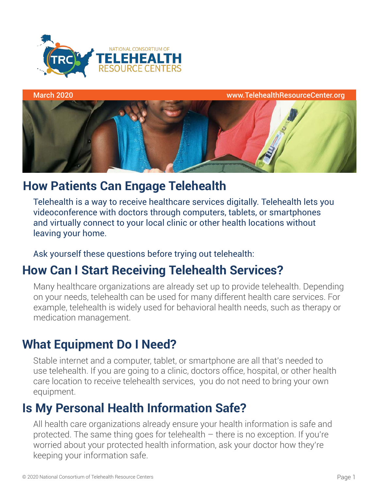



# **How Patients Can Engage Telehealth**

Telehealth is a way to receive healthcare services digitally. Telehealth lets you videoconference with doctors through computers, tablets, or smartphones and virtually connect to your local clinic or other health locations without leaving your home.

### Ask yourself these questions before trying out telehealth:

# **How Can I Start Receiving Telehealth Services?**

Many healthcare organizations are already set up to provide telehealth. Depending on your needs, telehealth can be used for many different health care services. For example, telehealth is widely used for behavioral health needs, such as therapy or medication management.

# **What Equipment Do I Need?**

Stable internet and a computer, tablet, or smartphone are all that's needed to use telehealth. If you are going to a clinic, doctors office, hospital, or other health care location to receive telehealth services, you do not need to bring your own equipment.

# **Is My Personal Health Information Safe?**

All health care organizations already ensure your health information is safe and protected. The same thing goes for telehealth – there is no exception. If you're worried about your protected health information, ask your doctor how they're keeping your information safe.